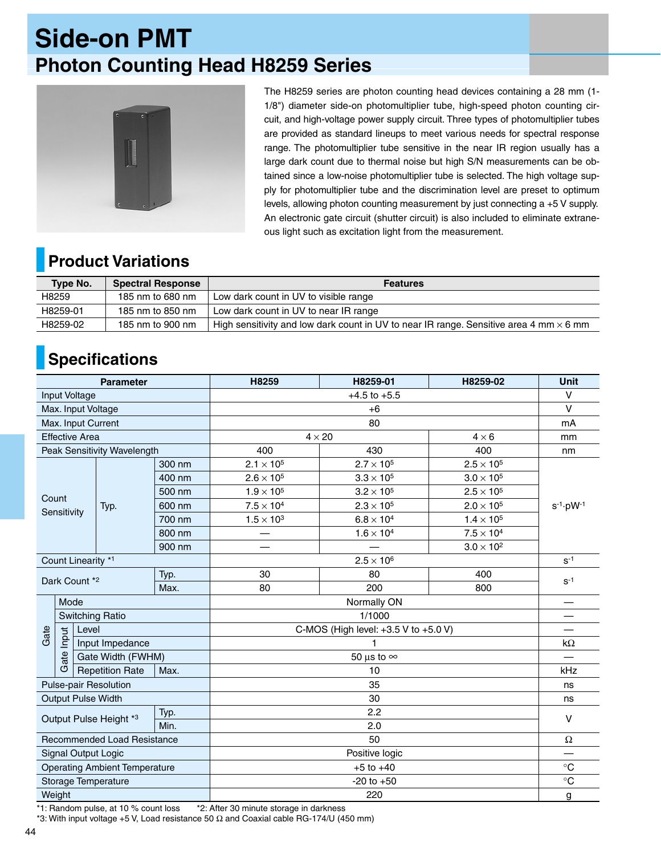## **Side-on PMT Photon Counting Head H8259 Series**



The H8259 series are photon counting head devices containing a 28 mm (1- 1/8") diameter side-on photomultiplier tube, high-speed photon counting circuit, and high-voltage power supply circuit. Three types of photomultiplier tubes are provided as standard lineups to meet various needs for spectral response range. The photomultiplier tube sensitive in the near IR region usually has a large dark count due to thermal noise but high S/N measurements can be obtained since a low-noise photomultiplier tube is selected. The high voltage supply for photomultiplier tube and the discrimination level are preset to optimum levels, allowing photon counting measurement by just connecting a +5 V supply. An electronic gate circuit (shutter circuit) is also included to eliminate extraneous light such as excitation light from the measurement.

## **Product Variations**

| <b>Type No.</b> | <b>Spectral Response</b> | <b>Features</b>                                                                               |  |  |
|-----------------|--------------------------|-----------------------------------------------------------------------------------------------|--|--|
| H8259           | 185 nm to 680 nm         | Low dark count in UV to visible range                                                         |  |  |
| H8259-01        | 185 nm to 850 nm         | Low dark count in UV to near IR range                                                         |  |  |
| H8259-02        | 185 nm to 900 nm         | High sensitivity and low dark count in UV to near IR range. Sensitive area 4 mm $\times$ 6 mm |  |  |

## **Specifications**

| <b>Parameter</b>                       |                        |                   |                                |                   | H8259                                    | H8259-01            | H8259-02            | <b>Unit</b>            |
|----------------------------------------|------------------------|-------------------|--------------------------------|-------------------|------------------------------------------|---------------------|---------------------|------------------------|
| Input Voltage                          |                        |                   |                                |                   |                                          | $\vee$              |                     |                        |
| Max. Input Voltage                     |                        |                   |                                |                   | $+6$                                     |                     |                     | V                      |
| Max. Input Current                     |                        |                   |                                |                   | 80                                       |                     |                     | mA                     |
| <b>Effective Area</b>                  |                        |                   |                                |                   | $4 \times 20$<br>$4 \times 6$            |                     |                     | mm                     |
| Peak Sensitivity Wavelength            |                        |                   |                                |                   | 400                                      | 430                 | 400                 | nm                     |
|                                        |                        |                   |                                | 300 nm            | $2.1 \times 10^{5}$                      | $2.7 \times 10^{5}$ | $2.5 \times 10^5$   |                        |
| Count<br>Sensitivity                   |                        |                   |                                | 400 nm            | $2.6 \times 10^{5}$                      | $3.3 \times 10^{5}$ | $3.0 \times 10^{5}$ | $s^{-1} \cdot pW^{-1}$ |
|                                        |                        |                   |                                | 500 nm            | $1.9 \times 10^{5}$                      | $3.2 \times 10^{5}$ | $2.5 \times 10^{5}$ |                        |
|                                        |                        |                   | Typ.                           | 600 nm            | $7.5 \times 10^{4}$                      | $2.3 \times 10^{5}$ | $2.0 \times 10^{5}$ |                        |
|                                        |                        |                   |                                | 700 nm            | $1.5\times10^3$                          | $6.8 \times 10^{4}$ | $1.4\times10^5$     |                        |
|                                        |                        |                   |                                | 800 nm            |                                          | $1.6 \times 10^{4}$ | $7.5 \times 10^{4}$ |                        |
|                                        |                        |                   |                                | 900 nm            |                                          |                     | $3.0 \times 10^2$   |                        |
| Count Linearity *1                     |                        |                   |                                |                   | $2.5 \times 10^6$                        |                     |                     | $S-1$                  |
| Typ.                                   |                        |                   |                                |                   | 30                                       | 80                  | 400                 | $S-1$                  |
|                                        | Dark Count *2<br>Max.  |                   |                                |                   | 80                                       | 200                 | 800                 |                        |
|                                        | Mode                   |                   |                                |                   | Normally ON                              |                     |                     |                        |
|                                        | <b>Switching Ratio</b> |                   |                                |                   | 1/1000                                   |                     |                     |                        |
| Gate                                   | Level                  |                   |                                |                   | C-MOS (High level: $+3.5$ V to $+5.0$ V) |                     |                     |                        |
|                                        | Input                  |                   | Input Impedance                |                   |                                          |                     |                     | $k\Omega$              |
|                                        | ate                    | Gate Width (FWHM) |                                | 50 µs to $\infty$ |                                          |                     |                     |                        |
|                                        | Ő                      |                   | <b>Repetition Rate</b><br>Max. |                   | 10                                       |                     |                     | kHz                    |
| <b>Pulse-pair Resolution</b>           |                        |                   |                                |                   | 35                                       |                     |                     | ns                     |
| <b>Output Pulse Width</b>              |                        |                   |                                |                   | 30                                       |                     |                     | ns                     |
| Typ.<br>Output Pulse Height *3<br>Min. |                        |                   |                                |                   | 2.2                                      |                     |                     | $\vee$                 |
|                                        |                        |                   |                                |                   | 2.0                                      |                     |                     |                        |
| <b>Recommended Load Resistance</b>     |                        |                   |                                |                   | 50                                       |                     |                     | $\Omega$               |
| Signal Output Logic                    |                        |                   |                                |                   | Positive logic                           |                     |                     |                        |
| <b>Operating Ambient Temperature</b>   |                        |                   |                                |                   | $+5$ to $+40$                            |                     |                     | $^\circ \text{C}$      |
| Storage Temperature                    |                        |                   |                                |                   | $-20$ to $+50$                           |                     |                     | $\circ$ C              |
| Weight                                 |                        |                   |                                |                   | 220                                      |                     |                     | g                      |

\*1: Random pulse, at 10 % count loss \*2: After 30 minute storage in darkness

\*3: With input voltage +5 V, Load resistance 50 Ω and Coaxial cable RG-174/U (450 mm)